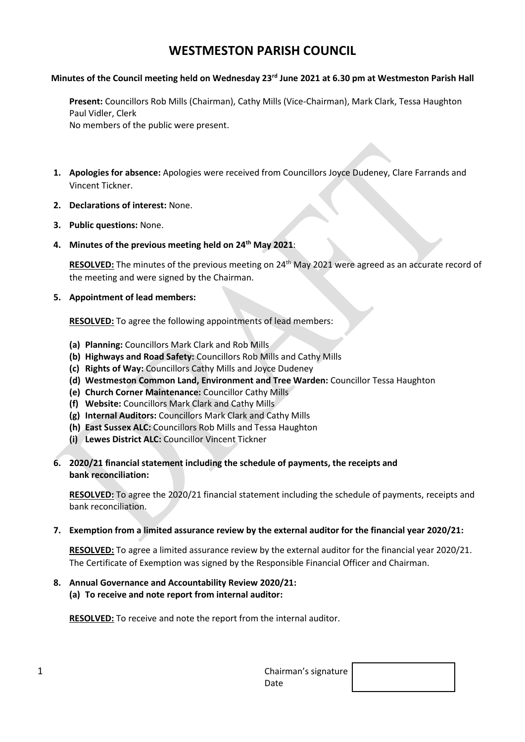# **WESTMESTON PARISH COUNCIL**

#### **Minutes of the Council meeting held on Wednesday 23 rd June 2021 at 6.30 pm at Westmeston Parish Hall**

**Present:** Councillors Rob Mills (Chairman), Cathy Mills (Vice-Chairman), Mark Clark, Tessa Haughton Paul Vidler, Clerk No members of the public were present.

- **1. Apologies for absence:** Apologies were received from Councillors Joyce Dudeney, Clare Farrands and Vincent Tickner.
- **2. Declarations of interest:** None.
- **3. Public questions:** None.
- **4. Minutes of the previous meeting held on 24th May 2021**:

RESOLVED: The minutes of the previous meeting on 24<sup>th</sup> May 2021 were agreed as an accurate record of the meeting and were signed by the Chairman.

**5. Appointment of lead members:** 

**RESOLVED:** To agree the following appointments of lead members:

- **(a) Planning:** Councillors Mark Clark and Rob Mills
- **(b) Highways and Road Safety:** Councillors Rob Mills and Cathy Mills
- **(c) Rights of Way:** Councillors Cathy Mills and Joyce Dudeney
- **(d) Westmeston Common Land, Environment and Tree Warden:** Councillor Tessa Haughton
- **(e) Church Corner Maintenance:** Councillor Cathy Mills
- **(f) Website:** Councillors Mark Clark and Cathy Mills
- **(g) Internal Auditors:** Councillors Mark Clark and Cathy Mills
- **(h) East Sussex ALC:** Councillors Rob Mills and Tessa Haughton
- **(i) Lewes District ALC:** Councillor Vincent Tickner
- **6. 2020/21 financial statement including the schedule of payments, the receipts and bank reconciliation:**

**RESOLVED:** To agree the 2020/21 financial statement including the schedule of payments, receipts and bank reconciliation.

**7. Exemption from a limited assurance review by the external auditor for the financial year 2020/21:**

**RESOLVED:** To agree a limited assurance review by the external auditor for the financial year 2020/21. The Certificate of Exemption was signed by the Responsible Financial Officer and Chairman.

- **8. Annual Governance and Accountability Review 2020/21:**
	- **(a) To receive and note report from internal auditor:**

**RESOLVED:** To receive and note the report from the internal auditor.

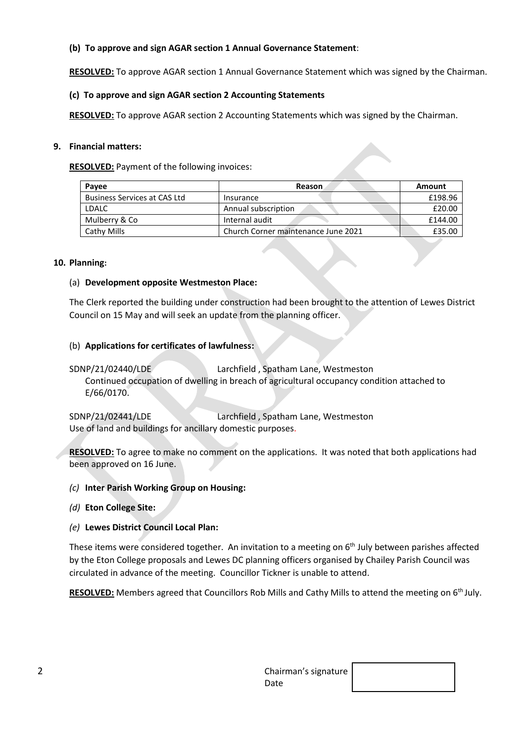# **(b) To approve and sign AGAR section 1 Annual Governance Statement**:

**RESOLVED:** To approve AGAR section 1 Annual Governance Statement which was signed by the Chairman.

### **(c) To approve and sign AGAR section 2 Accounting Statements**

**RESOLVED:** To approve AGAR section 2 Accounting Statements which was signed by the Chairman.

#### **9. Financial matters:**

**RESOLVED:** Payment of the following invoices:

| Reason                              | Amount  |
|-------------------------------------|---------|
| Insurance                           | £198.96 |
| Annual subscription                 | £20.00  |
| Internal audit                      | £144.00 |
| Church Corner maintenance June 2021 | £35.00  |
|                                     |         |

#### **10. Planning:**

#### (a) **Development opposite Westmeston Place:**

The Clerk reported the building under construction had been brought to the attention of Lewes District Council on 15 May and will seek an update from the planning officer.

# (b) **Applications for certificates of lawfulness:**

SDNP/21/02440/LDE Larchfield , Spatham Lane, Westmeston Continued occupation of dwelling in breach of agricultural occupancy condition attached to E/66/0170.

SDNP/21/02441/LDE Larchfield , Spatham Lane, Westmeston Use of land and buildings for ancillary domestic purposes.

**RESOLVED:** To agree to make no comment on the applications. It was noted that both applications had been approved on 16 June.

# *(c)* **Inter Parish Working Group on Housing:**

*(d)* **Eton College Site:**

# *(e)* **Lewes District Council Local Plan:**

These items were considered together. An invitation to a meeting on  $6<sup>th</sup>$  July between parishes affected by the Eton College proposals and Lewes DC planning officers organised by Chailey Parish Council was circulated in advance of the meeting. Councillor Tickner is unable to attend.

RESOLVED: Members agreed that Councillors Rob Mills and Cathy Mills to attend the meeting on 6<sup>th</sup> July.

| ∽<br>۷ | Chairman's signature |  |
|--------|----------------------|--|
|        | Date                 |  |